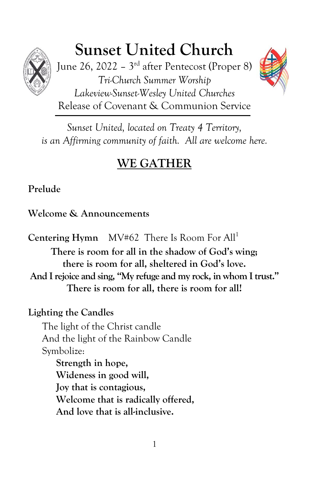

# **Sunset United Church**

June 26, 2022 – 3<sup>rd</sup> after Pentecost (Proper 8) *Tri-Church Summer Worship Lakeview-Sunset-Wesley United Churches* Release of Covenant & Communion Service

*Sunset United, located on Treaty 4 Territory, is an Affirming community of faith. All are welcome here.*

## **WE GATHER**

## **Prelude**

## **Welcome & Announcements**

**Centering Hymn** MV#62 There Is Room For All<sup>1</sup>

**There is room for all in the shadow of God's wing; there is room for all, sheltered in God's love. And I rejoice and sing, "My refuge and my rock, in whom I trust." There is room for all, there is room for all!**

## **Lighting the Candles**

The light of the Christ candle And the light of the Rainbow Candle Symbolize: **Strength in hope,**

**Wideness in good will, Joy that is contagious, Welcome that is radically offered, And love that is all-inclusive.**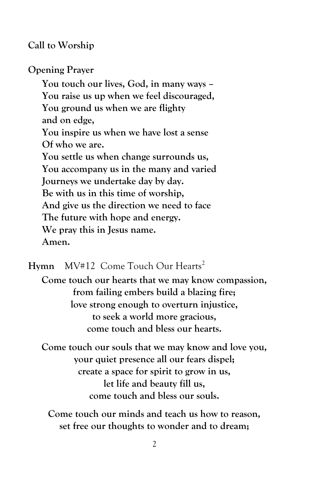#### **Call to Worship**

**Opening Prayer**

**You touch our lives, God, in many ways – You raise us up when we feel discouraged, You ground us when we are flighty and on edge, You inspire us when we have lost a sense Of who we are. You settle us when change surrounds us, You accompany us in the many and varied Journeys we undertake day by day. Be with us in this time of worship, And give us the direction we need to face The future with hope and energy. We pray this in Jesus name. Amen.**

Hymn MV#12 Come Touch Our Hearts<sup>2</sup>

**Come touch our hearts that we may know compassion, from failing embers build a blazing fire; love strong enough to overturn injustice, to seek a world more gracious, come touch and bless our hearts.**

**Come touch our souls that we may know and love you, your quiet presence all our fears dispel; create a space for spirit to grow in us, let life and beauty fill us, come touch and bless our souls.**

**Come touch our minds and teach us how to reason, set free our thoughts to wonder and to dream;**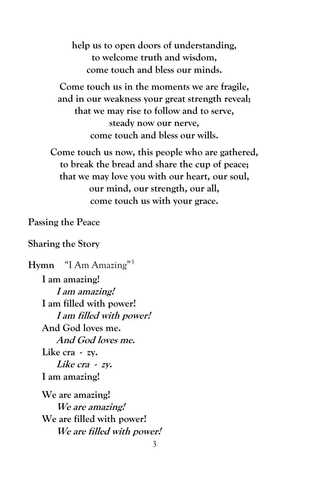**help us to open doors of understanding, to welcome truth and wisdom, come touch and bless our minds.**

**Come touch us in the moments we are fragile, and in our weakness your great strength reveal; that we may rise to follow and to serve, steady now our nerve, come touch and bless our wills.**

**Come touch us now, this people who are gathered, to break the bread and share the cup of peace; that we may love you with our heart, our soul, our mind, our strength, our all, come touch us with your grace.**

**Passing the Peace**

#### **Sharing the Story**

**Hymn** "I Am Amazing"<sup>3</sup> **I am amazing! I am amazing! I am filled with power! I am filled with power! And God loves me. And God loves me. Like cra - zy. Like cra - zy. I am amazing! We are amazing! We are amazing! We are filled with power! We are filled with power!**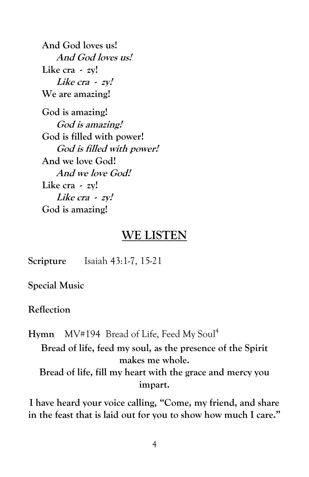**And God loves us! And God loves us! Like cra - zy! Like cra - zy! We are amazing!**

**God is amazing! God is amazing! God is filled with power! God is filled with power! And we love God! And we love God! Like cra - zy! Like cra - zy! God is amazing!**

## **WE LISTEN**

**Scripture** Isaiah 43:1-7, 15-21

**Special Music**

**Reflection**

Hymn MV#194 Bread of Life, Feed My Soul<sup>4</sup> **Bread of life, feed my soul, as the presence of the Spirit makes me whole. Bread of life, fill my heart with the grace and mercy you impart.**

**I have heard your voice calling, "Come, my friend, and share in the feast that is laid out for you to show how much I care."**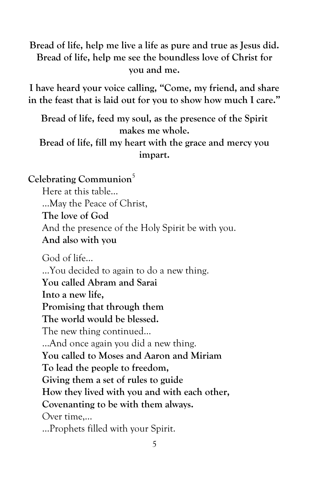**Bread of life, help me live a life as pure and true as Jesus did. Bread of life, help me see the boundless love of Christ for you and me.**

**I have heard your voice calling, "Come, my friend, and share in the feast that is laid out for you to show how much I care."**

**Bread of life, feed my soul, as the presence of the Spirit makes me whole.**

**Bread of life, fill my heart with the grace and mercy you impart.**

**Celebrating Communion**<sup>5</sup>

Here at this table… …May the Peace of Christ, **The love of God** And the presence of the Holy Spirit be with you. **And also with you**

God of life… …You decided to again to do a new thing. **You called Abram and Sarai Into a new life, Promising that through them The world would be blessed.** The new thing continued… …And once again you did a new thing. **You called to Moses and Aaron and Miriam To lead the people to freedom, Giving them a set of rules to guide How they lived with you and with each other, Covenanting to be with them always.** Over time,… …Prophets filled with your Spirit.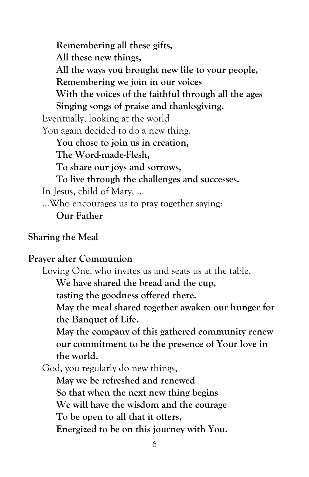**Remembering all these gifts, All these new things, All the ways you brought new life to your people, Remembering we join in our voices With the voices of the faithful through all the ages Singing songs of praise and thanksgiving.** Eventually, looking at the world You again decided to do a new thing. **You chose to join us in creation, The Word-made-Flesh, To share our joys and sorrows, To live through the challenges and successes.** In Jesus, child of Mary, … …Who encourages us to pray together saying: **Our Father**

#### **Sharing the Meal**

#### **Prayer after Communion**

Loving One, who invites us and seats us at the table,

**We have shared the bread and the cup,** 

**tasting the goodness offered there.**

**May the meal shared together awaken our hunger for the Banquet of Life.**

**May the company of this gathered community renew our commitment to be the presence of Your love in the world.**

God, you regularly do new things,

**May we be refreshed and renewed So that when the next new thing begins We will have the wisdom and the courage To be open to all that it offers, Energized to be on this journey with You.**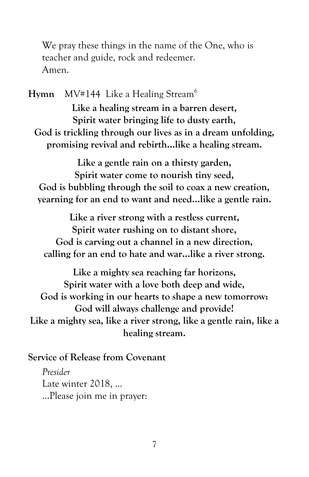We pray these things in the name of the One, who is teacher and guide, rock and redeemer. Amen.

Hymn MV#144 Like a Healing Stream<sup>6</sup> **Like a healing stream in a barren desert, Spirit water bringing life to dusty earth, God is trickling through our lives as in a dream unfolding, promising revival and rebirth…like a healing stream.**

**Like a gentle rain on a thirsty garden, Spirit water come to nourish tiny seed, God is bubbling through the soil to coax a new creation, yearning for an end to want and need…like a gentle rain.**

**Like a river strong with a restless current, Spirit water rushing on to distant shore, God is carving out a channel in a new direction, calling for an end to hate and war…like a river strong.**

**Like a mighty sea reaching far horizons, Spirit water with a love both deep and wide, God is working in our hearts to shape a new tomorrow: God will always challenge and provide! Like a mighty sea, like a river strong, like a gentle rain, like a healing stream.**

**Service of Release from Covenant**

*Presider* Late winter 2018, … …Please join me in prayer: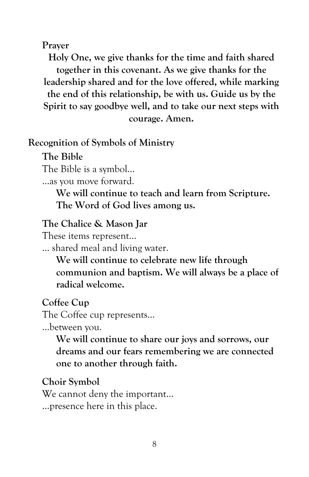#### **Prayer**

**Holy One, we give thanks for the time and faith shared together in this covenant. As we give thanks for the leadership shared and for the love offered, while marking the end of this relationship, be with us. Guide us by the Spirit to say goodbye well, and to take our next steps with courage. Amen.**

#### **Recognition of Symbols of Ministry**

**The Bible** The Bible is a symbol…

…as you move forward.

**We will continue to teach and learn from Scripture. The Word of God lives among us.**

#### **The Chalice & Mason Jar**

These items represent…

… shared meal and living water.

**We will continue to celebrate new life through communion and baptism. We will always be a place of radical welcome.**

#### **Coffee Cup**

The Coffee cup represents…

…between you.

**We will continue to share our joys and sorrows, our dreams and our fears remembering we are connected one to another through faith.**

#### **Choir Symbol**

We cannot deny the important… …presence here in this place.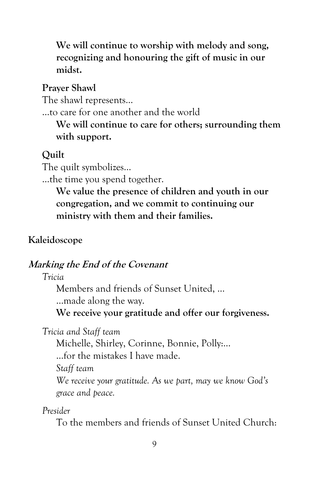**We will continue to worship with melody and song, recognizing and honouring the gift of music in our midst.**

**Prayer Shawl**

The shawl represents…

…to care for one another and the world

**We will continue to care for others; surrounding them with support.**

## **Quilt**

The quilt symbolizes…

…the time you spend together.

**We value the presence of children and youth in our congregation, and we commit to continuing our ministry with them and their families.**

## **Kaleidoscope**

## **Marking the End of the Covenant**

*Tricia*

Members and friends of Sunset United, …

…made along the way.

**We receive your gratitude and offer our forgiveness.**

*Tricia and Staff team*

Michelle, Shirley, Corinne, Bonnie, Polly:…

…for the mistakes I have made.

*Staff team*

*We receive your gratitude. As we part, may we know God's grace and peace.*

*Presider*

To the members and friends of Sunset United Church: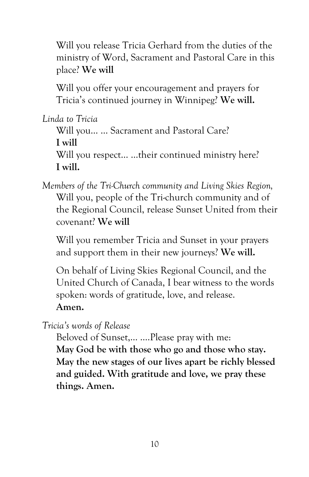Will you release Tricia Gerhard from the duties of the ministry of Word, Sacrament and Pastoral Care in this place? **We will**

Will you offer your encouragement and prayers for Tricia's continued journey in Winnipeg? **We will.**

*Linda to Tricia*

Will you… … Sacrament and Pastoral Care? **I will** Will you respect... ...their continued ministry here? **I will.**

*Members of the Tri-Church community and Living Skies Region,* Will you, people of the Tri-church community and of the Regional Council, release Sunset United from their covenant? **We will**

Will you remember Tricia and Sunset in your prayers and support them in their new journeys? **We will.**

On behalf of Living Skies Regional Council, and the United Church of Canada, I bear witness to the words spoken: words of gratitude, love, and release. **Amen.**

*Tricia's words of Release*

Beloved of Sunset,… ….Please pray with me: **May God be with those who go and those who stay. May the new stages of our lives apart be richly blessed and guided. With gratitude and love, we pray these things. Amen.**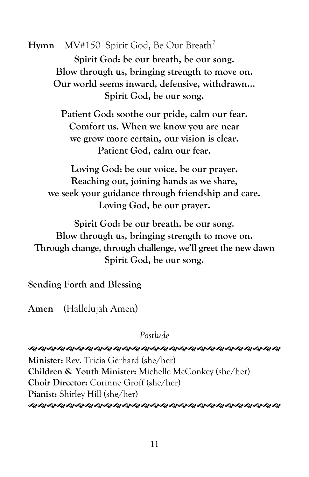**Hymn** MV#150 Spirit God, Be Our Breath<sup>7</sup> **Spirit God: be our breath, be our song. Blow through us, bringing strength to move on. Our world seems inward, defensive, withdrawn… Spirit God, be our song.**

> **Patient God: soothe our pride, calm our fear. Comfort us. When we know you are near we grow more certain, our vision is clear. Patient God, calm our fear.**

**Loving God: be our voice, be our prayer. Reaching out, joining hands as we share, we seek your guidance through friendship and care. Loving God, be our prayer.**

**Spirit God: be our breath, be our song. Blow through us, bringing strength to move on. Through change, through challenge, we'll greet the new dawn Spirit God, be our song.**

**Sending Forth and Blessing**

**Amen** (Hallelujah Amen)

*Postlude*

 **Minister:** Rev. Tricia Gerhard (she/her) **Children & Youth Minister:** Michelle McConkey (she/her) **Choir Director:** Corinne Groff (she/her) **Pianist:** Shirley Hill (she/her)

*֍֍֍֍֍֍֍֍֍֍֍֍֍֍֍֍֍֍֍֍֍֍֍֍֍֍֍֍֍֍*